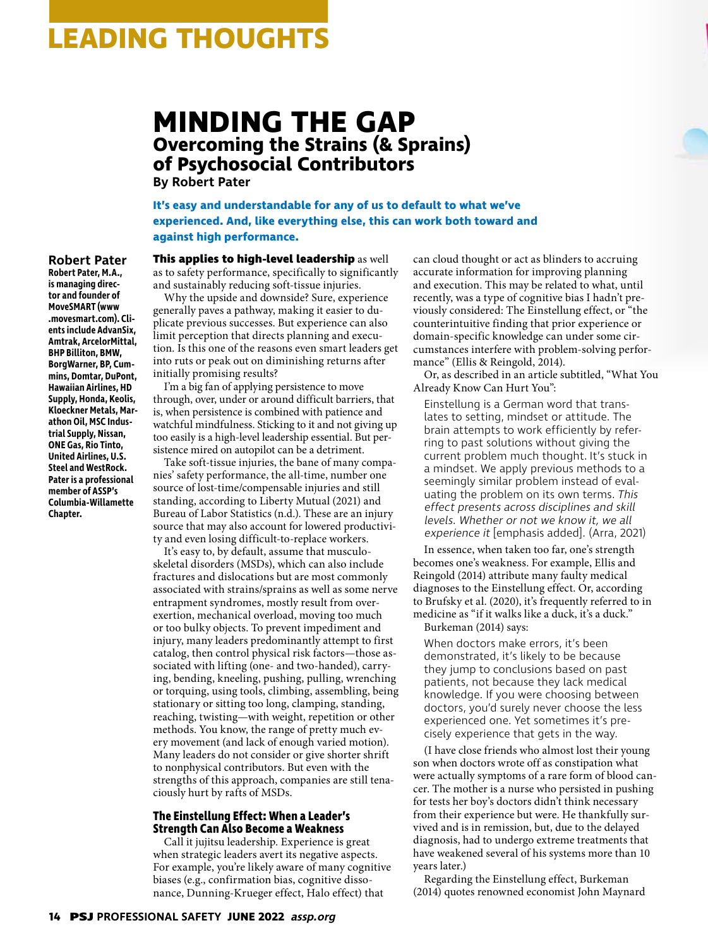# **LEADING THOUGHTS**

## **MINDING THE GAP Overcoming the Strains (& Sprains) of Psychosocial Contributors**

**By Robert Pater**

**It's easy and understandable for any of us to default to what we've experienced. And, like everything else, this can work both toward and against high performance.**

## **Robert Pater**

**Robert Pater, M.A., is managing director and founder of MoveSMART (www .movesmart.com). Clients include AdvanSix, Amtrak, ArcelorMittal, BHP Billiton, BMW, BorgWarner, BP, Cummins, Domtar, DuPont, Hawaiian Airlines, HD Supply, Honda, Keolis, Kloeckner Metals, Marathon Oil, MSC Industrial Supply, Nissan, ONE Gas, Rio Tinto, United Airlines, U.S. Steel and WestRock. Pater is a professional member of ASSP's Columbia-Willamette Chapter.**

**This applies to high-level leadership** as well as to safety performance, specifically to significantly and sustainably reducing soft-tissue injuries.

Why the upside and downside? Sure, experience generally paves a pathway, making it easier to duplicate previous successes. But experience can also limit perception that directs planning and execution. Is this one of the reasons even smart leaders get into ruts or peak out on diminishing returns after initially promising results?

I'm a big fan of applying persistence to move through, over, under or around difficult barriers, that is, when persistence is combined with patience and watchful mindfulness. Sticking to it and not giving up too easily is a high-level leadership essential. But persistence mired on autopilot can be a detriment.

Take soft-tissue injuries, the bane of many companies' safety performance, the all-time, number one source of lost-time/compensable injuries and still standing, according to Liberty Mutual (2021) and Bureau of Labor Statistics (n.d.). These are an injury source that may also account for lowered productivity and even losing difficult-to-replace workers.

It's easy to, by default, assume that musculoskeletal disorders (MSDs), which can also include fractures and dislocations but are most commonly associated with strains/sprains as well as some nerve entrapment syndromes, mostly result from overexertion, mechanical overload, moving too much or too bulky objects. To prevent impediment and injury, many leaders predominantly attempt to first catalog, then control physical risk factors—those associated with lifting (one- and two-handed), carrying, bending, kneeling, pushing, pulling, wrenching or torquing, using tools, climbing, assembling, being stationary or sitting too long, clamping, standing, reaching, twisting—with weight, repetition or other methods. You know, the range of pretty much every movement (and lack of enough varied motion). Many leaders do not consider or give shorter shrift to nonphysical contributors. But even with the strengths of this approach, companies are still tenaciously hurt by rafts of MSDs.

## **The Einstellung Effect: When a Leader's Strength Can Also Become a Weakness**

Call it jujitsu leadership. Experience is great when strategic leaders avert its negative aspects. For example, you're likely aware of many cognitive biases (e.g., confirmation bias, cognitive dissonance, Dunning-Krueger effect, Halo effect) that

can cloud thought or act as blinders to accruing accurate information for improving planning and execution. This may be related to what, until recently, was a type of cognitive bias I hadn't previously considered: The Einstellung effect, or "the counterintuitive finding that prior experience or domain-specific knowledge can under some circumstances interfere with problem-solving performance" (Ellis & Reingold, 2014).

Or, as described in an article subtitled, "What You Already Know Can Hurt You":

Einstellung is a German word that translates to setting, mindset or attitude. The brain attempts to work efficiently by referring to past solutions without giving the current problem much thought. It's stuck in a mindset. We apply previous methods to a seemingly similar problem instead of evaluating the problem on its own terms. This effect presents across disciplines and skill levels. Whether or not we know it, we all experience it [emphasis added]. (Arra, 2021)

In essence, when taken too far, one's strength becomes one's weakness. For example, Ellis and Reingold (2014) attribute many faulty medical diagnoses to the Einstellung effect. Or, according to Brufsky et al. (2020), it's frequently referred to in medicine as "if it walks like a duck, it's a duck." Burkeman (2014) says:

When doctors make errors, it's been demonstrated, it's likely to be because they jump to conclusions based on past patients, not because they lack medical knowledge. If you were choosing between doctors, you'd surely never choose the less experienced one. Yet sometimes it's precisely experience that gets in the way.

(I have close friends who almost lost their young son when doctors wrote off as constipation what were actually symptoms of a rare form of blood cancer. The mother is a nurse who persisted in pushing for tests her boy's doctors didn't think necessary from their experience but were. He thankfully survived and is in remission, but, due to the delayed diagnosis, had to undergo extreme treatments that have weakened several of his systems more than 10 years later.)

Regarding the Einstellung effect, Burkeman (2014) quotes renowned economist John Maynard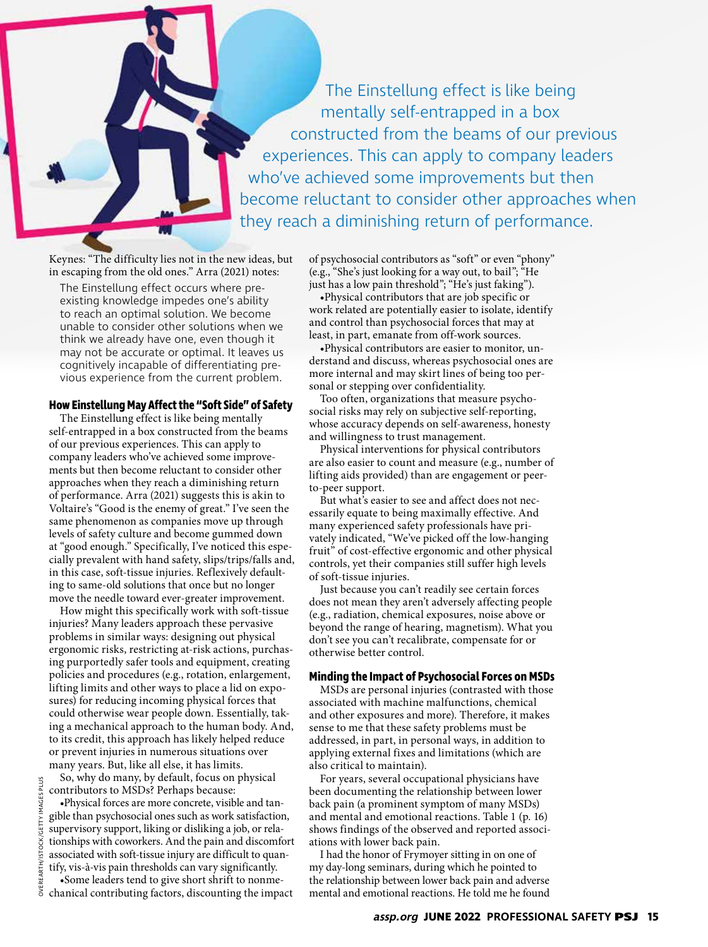The Einstellung effect is like being mentally self-entrapped in a box constructed from the beams of our previous experiences. This can apply to company leaders who've achieved some improvements but then become reluctant to consider other approaches when they reach a diminishing return of performance.

Keynes: "The difficulty lies not in the new ideas, but in escaping from the old ones." Arra (2021) notes:

The Einstellung effect occurs where preexisting knowledge impedes one's ability to reach an optimal solution. We become unable to consider other solutions when we think we already have one, even though it may not be accurate or optimal. It leaves us cognitively incapable of differentiating previous experience from the current problem.

## **How Einstellung May Affect the "Soft Side" of Safety**

The Einstellung effect is like being mentally self-entrapped in a box constructed from the beams of our previous experiences. This can apply to company leaders who've achieved some improvements but then become reluctant to consider other approaches when they reach a diminishing return of performance. Arra (2021) suggests this is akin to Voltaire's "Good is the enemy of great." I've seen the same phenomenon as companies move up through levels of safety culture and become gummed down at "good enough." Specifically, I've noticed this especially prevalent with hand safety, slips/trips/falls and, in this case, soft-tissue injuries. Reflexively defaulting to same-old solutions that once but no longer move the needle toward ever-greater improvement.

How might this specifically work with soft-tissue injuries? Many leaders approach these pervasive problems in similar ways: designing out physical ergonomic risks, restricting at-risk actions, purchasing purportedly safer tools and equipment, creating policies and procedures (e.g., rotation, enlargement, lifting limits and other ways to place a lid on exposures) for reducing incoming physical forces that could otherwise wear people down. Essentially, taking a mechanical approach to the human body. And, to its credit, this approach has likely helped reduce or prevent injuries in numerous situations over many years. But, like all else, it has limits.

So, why do many, by default, focus on physical contributors to MSDs? Perhaps because:

•Physical forces are more concrete, visible and tangible than psychosocial ones such as work satisfaction, supervisory support, liking or disliking a job, or relationships with coworkers. And the pain and discomfort associated with soft-tissue injury are difficult to quantify, vis-à-vis pain thresholds can vary significantly.

•Some leaders tend to give short shrift to nonmechanical contributing factors, discounting the impact of psychosocial contributors as "soft" or even "phony" (e.g., "She's just looking for a way out, to bail"; "He just has a low pain threshold"; "He's just faking").

•Physical contributors that are job specific or work related are potentially easier to isolate, identify and control than psychosocial forces that may at least, in part, emanate from off-work sources.

•Physical contributors are easier to monitor, understand and discuss, whereas psychosocial ones are more internal and may skirt lines of being too personal or stepping over confidentiality.

Too often, organizations that measure psychosocial risks may rely on subjective self-reporting, whose accuracy depends on self-awareness, honesty and willingness to trust management.

Physical interventions for physical contributors are also easier to count and measure (e.g., number of lifting aids provided) than are engagement or peerto-peer support.

But what's easier to see and affect does not necessarily equate to being maximally effective. And many experienced safety professionals have privately indicated, "We've picked off the low-hanging fruit" of cost-effective ergonomic and other physical controls, yet their companies still suffer high levels of soft-tissue injuries.

Just because you can't readily see certain forces does not mean they aren't adversely affecting people (e.g., radiation, chemical exposures, noise above or beyond the range of hearing, magnetism). What you don't see you can't recalibrate, compensate for or otherwise better control.

## **Minding the Impact of Psychosocial Forces on MSDs**

MSDs are personal injuries (contrasted with those associated with machine malfunctions, chemical and other exposures and more). Therefore, it makes sense to me that these safety problems must be addressed, in part, in personal ways, in addition to applying external fixes and limitations (which are also critical to maintain).

For years, several occupational physicians have been documenting the relationship between lower back pain (a prominent symptom of many MSDs) and mental and emotional reactions. Table 1 (p. 16) shows findings of the observed and reported associations with lower back pain.

I had the honor of Frymoyer sitting in on one of my day-long seminars, during which he pointed to the relationship between lower back pain and adverse mental and emotional reactions. He told me he found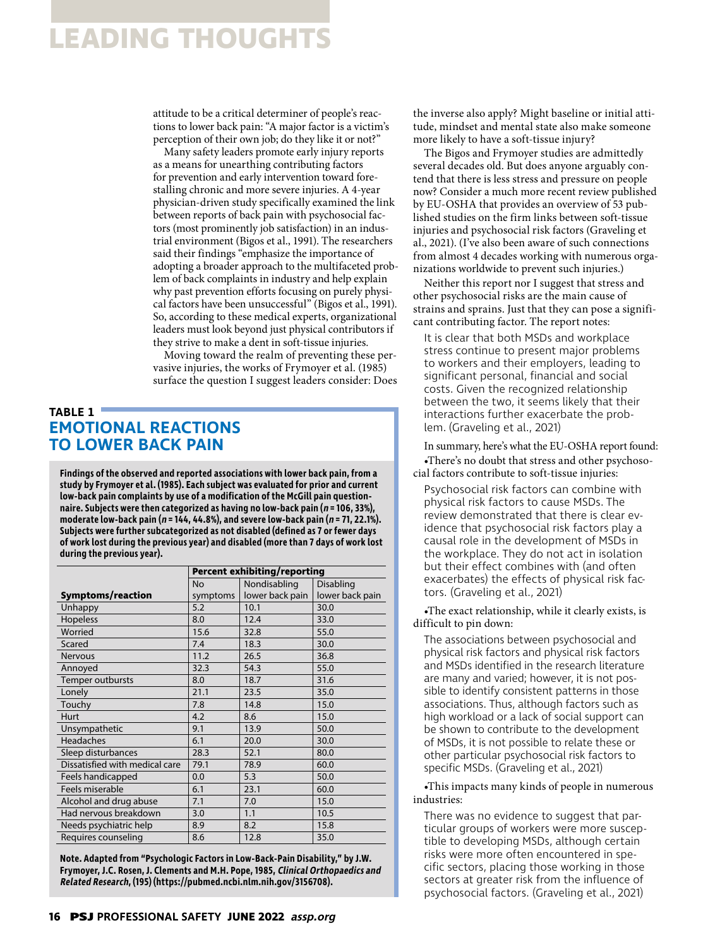# **LEADING THOUGHTS**

attitude to be a critical determiner of people's reactions to lower back pain: "A major factor is a victim's perception of their own job; do they like it or not?"

Many safety leaders promote early injury reports as a means for unearthing contributing factors for prevention and early intervention toward forestalling chronic and more severe injuries. A 4-year physician-driven study specifically examined the link between reports of back pain with psychosocial factors (most prominently job satisfaction) in an industrial environment (Bigos et al., 1991). The researchers said their findings "emphasize the importance of adopting a broader approach to the multifaceted problem of back complaints in industry and help explain why past prevention efforts focusing on purely physical factors have been unsuccessful" (Bigos et al., 1991). So, according to these medical experts, organizational leaders must look beyond just physical contributors if they strive to make a dent in soft-tissue injuries.

Moving toward the realm of preventing these pervasive injuries, the works of Frymoyer et al. (1985) surface the question I suggest leaders consider: Does

## **TABLE 1 EMOTIONAL REACTIONS TO LOWER BACK PAIN**

**Findings of the observed and reported associations with lower back pain, from a study by Frymoyer et al. (1985). Each subject was evaluated for prior and current low-back pain complaints by use of a modification of the McGill pain questionnaire. Subjects were then categorized as having no low-back pain (n = 106, 33%), moderate low-back pain (n = 144, 44.8%), and severe low-back pain (n = 71, 22.1%). Subjects were further subcategorized as not disabled (defined as 7 or fewer days of work lost during the previous year) and disabled (more than 7 days of work lost during the previous year).** 

|                                | <b>Percent exhibiting/reporting</b> |                 |                 |
|--------------------------------|-------------------------------------|-----------------|-----------------|
|                                | <b>No</b>                           | Nondisabling    | Disabling       |
| Symptoms/reaction              | symptoms                            | lower back pain | lower back pain |
| Unhappy                        | 5.2                                 | 10.1            | 30.0            |
| <b>Hopeless</b>                | 8.0                                 | 12.4            | 33.0            |
| Worried                        | 15.6                                | 32.8            | 55.0            |
| Scared                         | 7.4                                 | 18.3            | 30.0            |
| <b>Nervous</b>                 | 11.2                                | 26.5            | 36.8            |
| Annoyed                        | 32.3                                | 54.3            | 55.0            |
| Temper outbursts               | 8.0                                 | 18.7            | 31.6            |
| Lonely                         | 21.1                                | 23.5            | 35.0            |
| Touchy                         | 7.8                                 | 14.8            | 15.0            |
| Hurt                           | 4.2                                 | 8.6             | 15.0            |
| Unsympathetic                  | 9.1                                 | 13.9            | 50.0            |
| <b>Headaches</b>               | 6.1                                 | 20.0            | 30.0            |
| Sleep disturbances             | 28.3                                | 52.1            | 80.0            |
| Dissatisfied with medical care | 79.1                                | 78.9            | 60.0            |
| Feels handicapped              | 0.0                                 | 5.3             | 50.0            |
| Feels miserable                | 6.1                                 | 23.1            | 60.0            |
| Alcohol and drug abuse         | 7.1                                 | 7.0             | 15.0            |
| Had nervous breakdown          | 3.0                                 | 1.1             | 10.5            |
| Needs psychiatric help         | 8.9                                 | 8.2             | 15.8            |
| Requires counseling            | 8.6                                 | 12.8            | 35.0            |

**Note. Adapted from "Psychologic Factors in Low-Back-Pain Disability," by J.W. Frymoyer, J.C. Rosen, J. Clements and M.H. Pope, 1985, Clinical Orthopaedics and Related Research, (195) (https://pubmed.ncbi.nlm.nih.gov/3156708).**

the inverse also apply? Might baseline or initial attitude, mindset and mental state also make someone more likely to have a soft-tissue injury?

The Bigos and Frymoyer studies are admittedly several decades old. But does anyone arguably contend that there is less stress and pressure on people now? Consider a much more recent review published by EU-OSHA that provides an overview of 53 published studies on the firm links between soft-tissue injuries and psychosocial risk factors (Graveling et al., 2021). (I've also been aware of such connections from almost 4 decades working with numerous organizations worldwide to prevent such injuries.)

Neither this report nor I suggest that stress and other psychosocial risks are the main cause of strains and sprains. Just that they can pose a significant contributing factor. The report notes:

It is clear that both MSDs and workplace stress continue to present major problems to workers and their employers, leading to significant personal, financial and social costs. Given the recognized relationship between the two, it seems likely that their interactions further exacerbate the problem. (Graveling et al., 2021)

In summary, here's what the EU-OSHA report found: •There's no doubt that stress and other psychosocial factors contribute to soft-tissue injuries:

Psychosocial risk factors can combine with physical risk factors to cause MSDs. The review demonstrated that there is clear evidence that psychosocial risk factors play a causal role in the development of MSDs in the workplace. They do not act in isolation but their effect combines with (and often exacerbates) the effects of physical risk factors. (Graveling et al., 2021)

•The exact relationship, while it clearly exists, is difficult to pin down:

The associations between psychosocial and physical risk factors and physical risk factors and MSDs identified in the research literature are many and varied; however, it is not possible to identify consistent patterns in those associations. Thus, although factors such as high workload or a lack of social support can be shown to contribute to the development of MSDs, it is not possible to relate these or other particular psychosocial risk factors to specific MSDs. (Graveling et al., 2021)

•This impacts many kinds of people in numerous industries:

There was no evidence to suggest that particular groups of workers were more susceptible to developing MSDs, although certain risks were more often encountered in specific sectors, placing those working in those sectors at greater risk from the influence of psychosocial factors. (Graveling et al., 2021)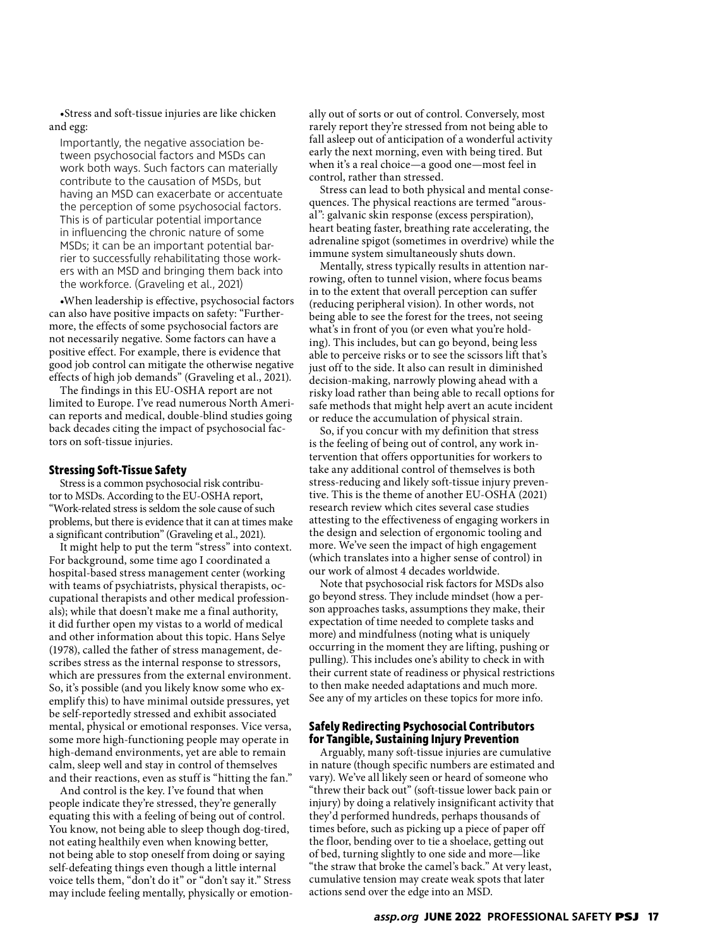•Stress and soft-tissue injuries are like chicken and egg:

Importantly, the negative association between psychosocial factors and MSDs can work both ways. Such factors can materially contribute to the causation of MSDs, but having an MSD can exacerbate or accentuate the perception of some psychosocial factors. This is of particular potential importance in influencing the chronic nature of some MSDs; it can be an important potential barrier to successfully rehabilitating those workers with an MSD and bringing them back into the workforce. (Graveling et al., 2021)

•When leadership is effective, psychosocial factors can also have positive impacts on safety: "Furthermore, the effects of some psychosocial factors are not necessarily negative. Some factors can have a positive effect. For example, there is evidence that good job control can mitigate the otherwise negative effects of high job demands" (Graveling et al., 2021).

The findings in this EU-OSHA report are not limited to Europe. I've read numerous North American reports and medical, double-blind studies going back decades citing the impact of psychosocial factors on soft-tissue injuries.

### **Stressing Soft-Tissue Safety**

Stress is a common psychosocial risk contributor to MSDs. According to the EU-OSHA report, "Work-related stress is seldom the sole cause of such problems, but there is evidence that it can at times make a significant contribution" (Graveling et al., 2021).

It might help to put the term "stress" into context. For background, some time ago I coordinated a hospital-based stress management center (working with teams of psychiatrists, physical therapists, occupational therapists and other medical professionals); while that doesn't make me a final authority, it did further open my vistas to a world of medical and other information about this topic. Hans Selye (1978), called the father of stress management, describes stress as the internal response to stressors, which are pressures from the external environment. So, it's possible (and you likely know some who exemplify this) to have minimal outside pressures, yet be self-reportedly stressed and exhibit associated mental, physical or emotional responses. Vice versa, some more high-functioning people may operate in high-demand environments, yet are able to remain calm, sleep well and stay in control of themselves and their reactions, even as stuff is "hitting the fan."

And control is the key. I've found that when people indicate they're stressed, they're generally equating this with a feeling of being out of control. You know, not being able to sleep though dog-tired, not eating healthily even when knowing better, not being able to stop oneself from doing or saying self-defeating things even though a little internal voice tells them, "don't do it" or "don't say it." Stress may include feeling mentally, physically or emotionally out of sorts or out of control. Conversely, most rarely report they're stressed from not being able to fall asleep out of anticipation of a wonderful activity early the next morning, even with being tired. But when it's a real choice—a good one—most feel in control, rather than stressed.

Stress can lead to both physical and mental consequences. The physical reactions are termed "arousal": galvanic skin response (excess perspiration), heart beating faster, breathing rate accelerating, the adrenaline spigot (sometimes in overdrive) while the immune system simultaneously shuts down.

Mentally, stress typically results in attention narrowing, often to tunnel vision, where focus beams in to the extent that overall perception can suffer (reducing peripheral vision). In other words, not being able to see the forest for the trees, not seeing what's in front of you (or even what you're holding). This includes, but can go beyond, being less able to perceive risks or to see the scissors lift that's just off to the side. It also can result in diminished decision-making, narrowly plowing ahead with a risky load rather than being able to recall options for safe methods that might help avert an acute incident or reduce the accumulation of physical strain.

So, if you concur with my definition that stress is the feeling of being out of control, any work intervention that offers opportunities for workers to take any additional control of themselves is both stress-reducing and likely soft-tissue injury preventive. This is the theme of another EU-OSHA (2021) research review which cites several case studies attesting to the effectiveness of engaging workers in the design and selection of ergonomic tooling and more. We've seen the impact of high engagement (which translates into a higher sense of control) in our work of almost 4 decades worldwide.

Note that psychosocial risk factors for MSDs also go beyond stress. They include mindset (how a person approaches tasks, assumptions they make, their expectation of time needed to complete tasks and more) and mindfulness (noting what is uniquely occurring in the moment they are lifting, pushing or pulling). This includes one's ability to check in with their current state of readiness or physical restrictions to then make needed adaptations and much more. See any of my articles on these topics for more info.

## **Safely Redirecting Psychosocial Contributors for Tangible, Sustaining Injury Prevention**

Arguably, many soft-tissue injuries are cumulative in nature (though specific numbers are estimated and vary). We've all likely seen or heard of someone who "threw their back out" (soft-tissue lower back pain or injury) by doing a relatively insignificant activity that they'd performed hundreds, perhaps thousands of times before, such as picking up a piece of paper off the floor, bending over to tie a shoelace, getting out of bed, turning slightly to one side and more—like "the straw that broke the camel's back." At very least, cumulative tension may create weak spots that later actions send over the edge into an MSD.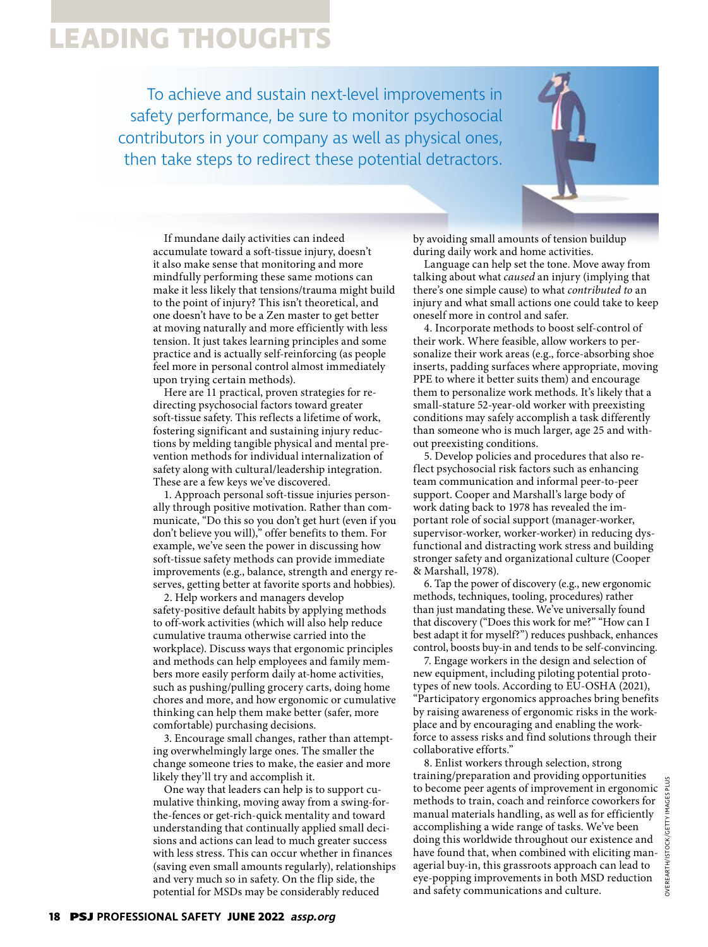# **LEADING THOUGHTS**

To achieve and sustain next-level improvements in safety performance, be sure to monitor psychosocial contributors in your company as well as physical ones, then take steps to redirect these potential detractors.



If mundane daily activities can indeed accumulate toward a soft-tissue injury, doesn't it also make sense that monitoring and more mindfully performing these same motions can make it less likely that tensions/trauma might build to the point of injury? This isn't theoretical, and one doesn't have to be a Zen master to get better at moving naturally and more efficiently with less tension. It just takes learning principles and some practice and is actually self-reinforcing (as people feel more in personal control almost immediately upon trying certain methods).

Here are 11 practical, proven strategies for redirecting psychosocial factors toward greater soft-tissue safety. This reflects a lifetime of work, fostering significant and sustaining injury reductions by melding tangible physical and mental prevention methods for individual internalization of safety along with cultural/leadership integration. These are a few keys we've discovered.

1. Approach personal soft-tissue injuries personally through positive motivation. Rather than communicate, "Do this so you don't get hurt (even if you don't believe you will)," offer benefits to them. For example, we've seen the power in discussing how soft-tissue safety methods can provide immediate improvements (e.g., balance, strength and energy reserves, getting better at favorite sports and hobbies).

2. Help workers and managers develop safety-positive default habits by applying methods to off-work activities (which will also help reduce cumulative trauma otherwise carried into the workplace). Discuss ways that ergonomic principles and methods can help employees and family members more easily perform daily at-home activities, such as pushing/pulling grocery carts, doing home chores and more, and how ergonomic or cumulative thinking can help them make better (safer, more comfortable) purchasing decisions.

3. Encourage small changes, rather than attempting overwhelmingly large ones. The smaller the change someone tries to make, the easier and more likely they'll try and accomplish it.

One way that leaders can help is to support cumulative thinking, moving away from a swing-forthe-fences or get-rich-quick mentality and toward understanding that continually applied small decisions and actions can lead to much greater success with less stress. This can occur whether in finances (saving even small amounts regularly), relationships and very much so in safety. On the flip side, the potential for MSDs may be considerably reduced

by avoiding small amounts of tension buildup during daily work and home activities.

Language can help set the tone. Move away from talking about what *caused* an injury (implying that there's one simple cause) to what *contributed to* an injury and what small actions one could take to keep oneself more in control and safer.

4. Incorporate methods to boost self-control of their work. Where feasible, allow workers to personalize their work areas (e.g., force-absorbing shoe inserts, padding surfaces where appropriate, moving PPE to where it better suits them) and encourage them to personalize work methods. It's likely that a small-stature 52-year-old worker with preexisting conditions may safely accomplish a task differently than someone who is much larger, age 25 and without preexisting conditions.

5. Develop policies and procedures that also reflect psychosocial risk factors such as enhancing team communication and informal peer-to-peer support. Cooper and Marshall's large body of work dating back to 1978 has revealed the important role of social support (manager-worker, supervisor-worker, worker-worker) in reducing dysfunctional and distracting work stress and building stronger safety and organizational culture (Cooper & Marshall, 1978).

6. Tap the power of discovery (e.g., new ergonomic methods, techniques, tooling, procedures) rather than just mandating these. We've universally found that discovery ("Does this work for me?" "How can I best adapt it for myself?") reduces pushback, enhances control, boosts buy-in and tends to be self-convincing.

7. Engage workers in the design and selection of new equipment, including piloting potential prototypes of new tools. According to EU-OSHA (2021), "Participatory ergonomics approaches bring benefits by raising awareness of ergonomic risks in the workplace and by encouraging and enabling the workforce to assess risks and find solutions through their collaborative efforts."

8. Enlist workers through selection, strong training/preparation and providing opportunities to become peer agents of improvement in ergonomic methods to train, coach and reinforce coworkers for manual materials handling, as well as for efficiently accomplishing a wide range of tasks. We've been doing this worldwide throughout our existence and have found that, when combined with eliciting managerial buy-in, this grassroots approach can lead to eye-popping improvements in both MSD reduction and safety communications and culture.